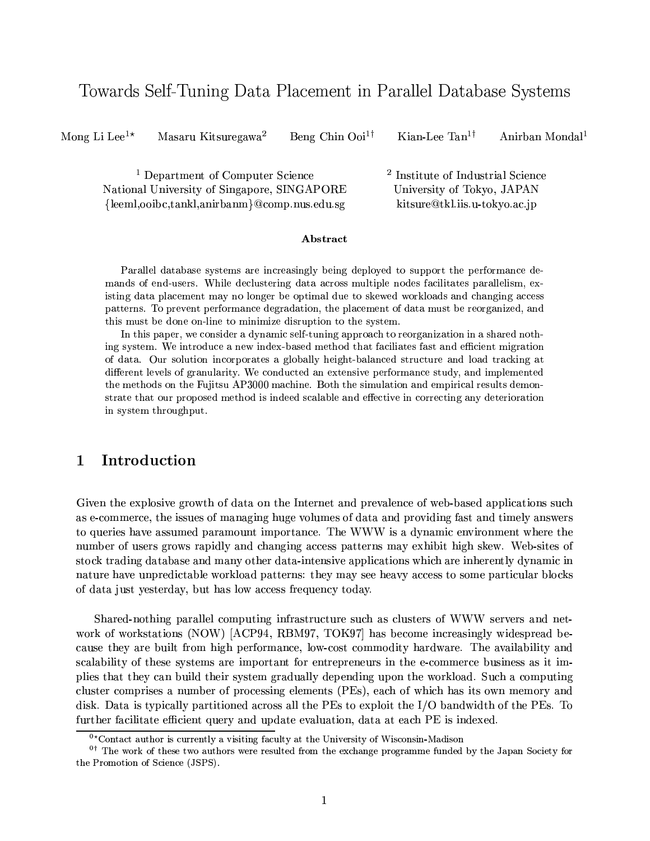# Towards Self-Tuning Data Placement in Parallel Database Systems

| Mong Li Lee <sup>1*</sup>                                            | Masaru Kitsuregawa <sup>2</sup> | Beng Chin $\mathrm{Ooi}^{1\dagger}$ | Kian-Lee Tan <sup>1†</sup>                   | Anirban Mondal <sup>1</sup> |
|----------------------------------------------------------------------|---------------------------------|-------------------------------------|----------------------------------------------|-----------------------------|
| <sup>1</sup> Department of Computer Science                          |                                 |                                     | <sup>2</sup> Institute of Industrial Science |                             |
| National University of Singapore, SINGAPORE                          |                                 |                                     | University of Tokyo, JAPAN                   |                             |
| ${[{\rm{leeml},ooibc, {\rm{tankl}},\rm{anirbamm}}]}@comp.nus.edu.sg$ |                                 |                                     | kitsure@tkl.iis.u-tokyo.ac.jp                |                             |

### **Abstract**

Parallel database systems are increasingly being deployed to support the performance demands of end-users. While declustering data across multiple nodes facilitates parallelism, existing data placement may no longer be optimal due to skewed workloads and changing access patterns. To prevent performance degradation, the placement of data must be reorganized, and this must be done on-line to minimize disruption to the system.

In this paper, we consider a dynamic self-tuning approach to reorganization in a shared nothing system. We introduce a new index-based method that faciliates fast and efficient migration of data. Our solution incorporates a globally height-balanced structure and load tracking at different levels of granularity. We conducted an extensive performance study, and implemented the methods on the Fujitsu AP3000 machine. Both the simulation and empirical results demonstrate that our proposed method is indeed scalable and effective in correcting any deterioration in system throughput.

### Introduction  $\mathbf 1$

Given the explosive growth of data on the Internet and prevalence of web-based applications such as e-commerce, the issues of managing huge volumes of data and providing fast and timely answers to queries have assumed paramount importance. The WWW is a dynamic environment where the number of users grows rapidly and changing access patterns may exhibit high skew. Web-sites of stock trading database and many other data-intensive applications which are inherently dynamic in nature have unpredictable workload patterns: they may see heavy access to some particular blocks of data just yesterday, but has low access frequency today.

Shared-nothing parallel computing infrastructure such as clusters of WWW servers and network of workstations (NOW) [ACP94, RBM97, TOK97] has become increasingly widespread because they are built from high performance, low-cost commodity hardware. The availability and scalability of these systems are important for entrepreneurs in the e-commerce business as it implies that they can build their system gradually depending upon the workload. Such a computing cluster comprises a number of processing elements (PEs), each of which has its own memory and disk. Data is typically partitioned across all the PEs to exploit the  $I/O$  bandwidth of the PEs. To further facilitate efficient query and update evaluation, data at each PE is indexed.

 $0*$  Contact author is currently a visiting faculty at the University of Wisconsin-Madison

<sup>&</sup>lt;sup>0†</sup> The work of these two authors were resulted from the exchange programme funded by the Japan Society for the Promotion of Science (JSPS).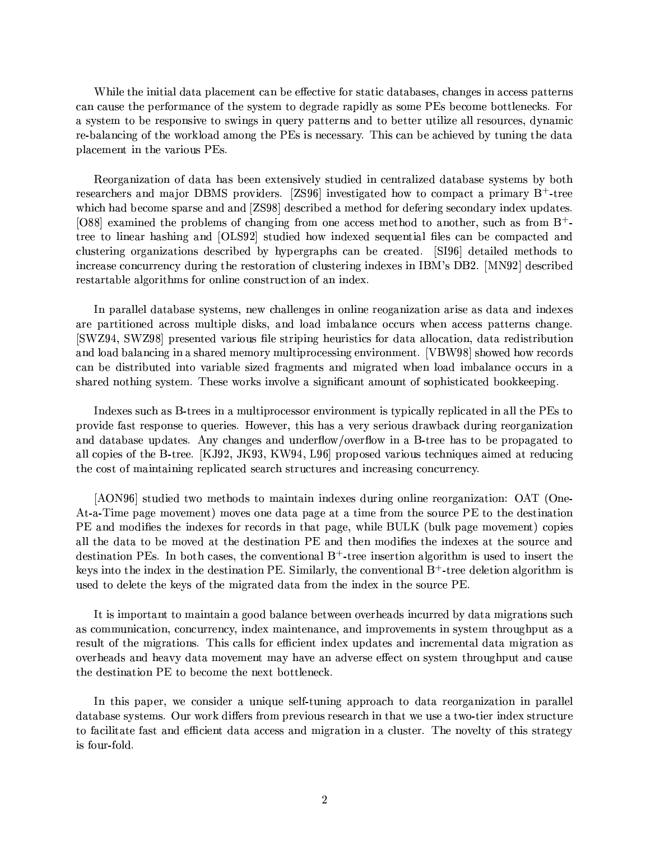While the initial data placement can be effective for static databases, changes in access patterns can cause the performance of the system to degrade rapidly as some PEs become bottlenecks. For a system to be responsive to swings in query patterns and to better utilize all resources, dynamic re-balancing of the workload among the PEs is necessary. This can be achieved by tuning the data placement in the various PEs.

Reorganization of data has been extensively studied in centralized database systems by both researchers and major DBMS providers. [ZS96] investigated how to compact a primary B<sup>+</sup>-tree which had become sparse and and [ZS98] described a method for defering secondary index updates. [O88] examined the problems of changing from one access method to another, such as from  $B^+$ tree to linear hashing and [OLS92] studied how indexed sequential files can be compacted and clustering organizations described by hypergraphs can be created. [SI96] detailed methods to increase concurrency during the restoration of clustering indexes in IBM's DB2. [MN92] described restartable algorithms for online construction of an index.

In parallel database systems, new challenges in online reoganization arise as data and indexes are partitioned across multiple disks, and load imbalance occurs when access patterns change. [SWZ94, SWZ98] presented various file striping heuristics for data allocation, data redistribution and load balancing in a shared memory multiprocessing environment. [VBW98] showed how records can be distributed into variable sized fragments and migrated when load imbalance occurs in a shared nothing system. These works involve a significant amount of sophisticated bookkeeping.

Indexes such as B-trees in a multiprocessor environment is typically replicated in all the PEs to provide fast response to queries. However, this has a very serious drawback during reorganization and database updates. Any changes and underflow/overflow in a B-tree has to be propagated to all copies of the B-tree. [KJ92, JK93, KW94, L96] proposed various techniques aimed at reducing the cost of maintaining replicated search structures and increasing concurrency.

[AON96] studied two methods to maintain indexes during online reorganization: OAT (One-At-a-Time page movement) moves one data page at a time from the source PE to the destination PE and modifies the indexes for records in that page, while BULK (bulk page movement) copies all the data to be moved at the destination PE and then modifies the indexes at the source and destination PEs. In both cases, the conventional  $B^+$ -tree insertion algorithm is used to insert the keys into the index in the destination PE. Similarly, the conventional  $B^+$ -tree deletion algorithm is used to delete the keys of the migrated data from the index in the source PE.

It is important to maintain a good balance between overheads incurred by data migrations such as communication, concurrency, index maintenance, and improvements in system throughput as a result of the migrations. This calls for efficient index updates and incremental data migration as overheads and heavy data movement may have an adverse effect on system throughput and cause the destination PE to become the next bottleneck.

In this paper, we consider a unique self-tuning approach to data reorganization in parallel database systems. Our work differs from previous research in that we use a two-tier index structure to facilitate fast and efficient data access and migration in a cluster. The novelty of this strategy is four-fold.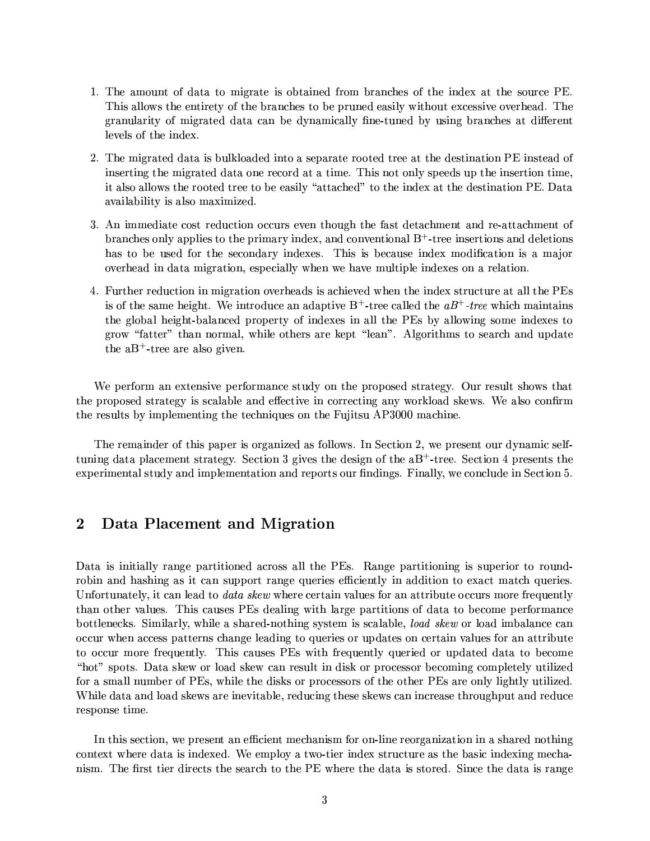- 1. The amount of data to migrate is obtained from branches of the index at the source PE. This allows the entirety of the branches to be pruned easily without excessive overhead. The granularity of migrated data can be dynamically fine-tuned by using branches at different levels of the index.
- 2. The migrated data is bulkloaded into a separate rooted tree at the destination PE instead of inserting the migrated data one record at a time. This not only speeds up the insertion time, it also allows the rooted tree to be easily "attached" to the index at the destination PE. Data availability is also maximized.
- 3. An immediate cost reduction occurs even though the fast detachment and re-attachment of branches only applies to the primary index, and conventional  $B^+$ -tree insertions and deletions has to be used for the secondary indexes. This is because index modification is a major overhead in data migration, especially when we have multiple indexes on a relation.
- 4. Further reduction in migration overheads is achieved when the index structure at all the PEs is of the same height. We introduce an adaptive  $B^+$ -tree called the  $aB^+$ -tree which maintains the global height-balanced property of indexes in all the PEs by allowing some indexes to grow "fatter" than normal, while others are kept "lean". Algorithms to search and update the  $aB^+$ -tree are also given.

We perform an extensive performance study on the proposed strategy. Our result shows that the proposed strategy is scalable and effective in correcting any workload skews. We also confirm the results by implementing the techniques on the Fujitsu AP3000 machine.

The remainder of this paper is organized as follows. In Section 2, we present our dynamic selftuning data placement strategy. Section 3 gives the design of the  $aB^+$ -tree. Section 4 presents the experimental study and implementation and reports our findings. Finally, we conclude in Section 5.

### $\overline{2}$ Data Placement and Migration

Data is initially range partitioned across all the PEs. Range partitioning is superior to roundrobin and hashing as it can support range queries efficiently in addition to exact match queries. Unfortunately, it can lead to *data skew* where certain values for an attribute occurs more frequently than other values. This causes PEs dealing with large partitions of data to become performance bottlenecks. Similarly, while a shared-nothing system is scalable, load skew or load imbalance can occur when access patterns change leading to queries or updates on certain values for an attribute to occur more frequently. This causes PEs with frequently queried or updated data to become "hot" spots. Data skew or load skew can result in disk or processor becoming completely utilized for a small number of PEs, while the disks or processors of the other PEs are only lightly utilized. While data and load skews are inevitable, reducing these skews can increase throughput and reduce response time.

In this section, we present an efficient mechanism for on-line reorganization in a shared nothing context where data is indexed. We employ a two-tier index structure as the basic indexing mechanism. The first tier directs the search to the PE where the data is stored. Since the data is range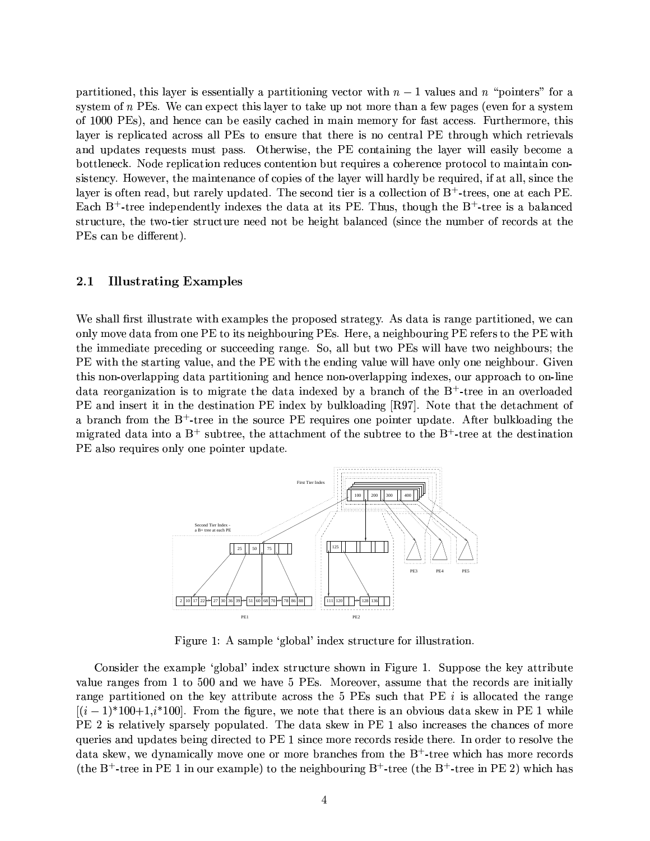partitioned, this layer is essentially a partitioning vector with  $n-1$  values and n "pointers" for a system of  $n$  PEs. We can expect this layer to take up not more than a few pages (even for a system of 1000 PEs), and hence can be easily cached in main memory for fast access. Furthermore, this layer is replicated across all PEs to ensure that there is no central PE through which retrievals and updates requests must pass. Otherwise, the PE containing the layer will easily become a bottleneck. Node replication reduces contention but requires a coherence protocol to maintain consistency. However, the maintenance of copies of the layer will hardly be required, if at all, since the layer is often read, but rarely updated. The second tier is a collection of  $B^+$ -trees, one at each PE. Each  $B^+$ -tree independently indexes the data at its PE. Thus, though the  $B^+$ -tree is a balanced structure, the two-tier structure need not be height balanced (since the number of records at the PEs can be different).

#### $2.1$ **Illustrating Examples**

We shall first illustrate with examples the proposed strategy. As data is range partitioned, we can only move data from one PE to its neighbouring PEs. Here, a neighbouring PE refers to the PE with the immediate preceding or succeeding range. So, all but two PEs will have two neighbours; the PE with the starting value, and the PE with the ending value will have only one neighbour. Given this non-overlapping data partitioning and hence non-overlapping indexes, our approach to on-line data reorganization is to migrate the data indexed by a branch of the  $B^+$ -tree in an overloaded PE and insert it in the destination PE index by bulkloading [R97]. Note that the detachment of a branch from the  $B^+$ -tree in the source PE requires one pointer update. After bulkloading the migrated data into a  $B^+$  subtree, the attachment of the subtree to the  $B^+$ -tree at the destination PE also requires only one pointer update.



Figure 1: A sample 'global' index structure for illustration.

Consider the example 'global' index structure shown in Figure 1. Suppose the key attribute value ranges from 1 to 500 and we have 5 PEs. Moreover, assume that the records are initially range partitioned on the key attribute across the 5 PEs such that PE  $i$  is allocated the range  $[(i-1)^*100+1,i^*100]$ . From the figure, we note that there is an obvious data skew in PE 1 while PE 2 is relatively sparsely populated. The data skew in PE 1 also increases the chances of more queries and updates being directed to PE 1 since more records reside there. In order to resolve the data skew, we dynamically move one or more branches from the  $B^+$ -tree which has more records (the B<sup>+</sup>-tree in PE 1 in our example) to the neighbouring B<sup>+</sup>-tree (the B<sup>+</sup>-tree in PE 2) which has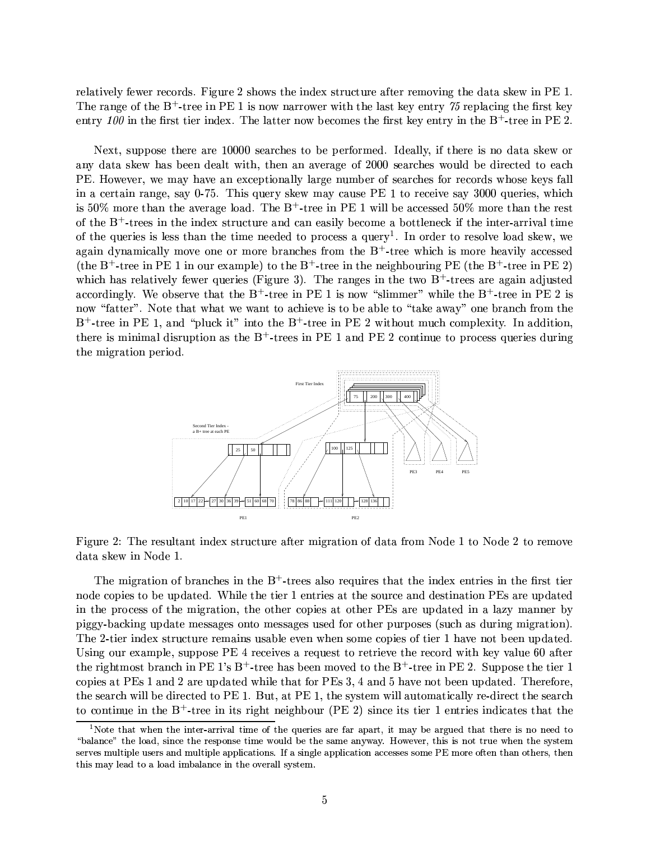relatively fewer records. Figure 2 shows the index structure after removing the data skew in PE 1. The range of the  $B^+$ -tree in PE 1 is now narrower with the last key entry 75 replacing the first key entry 100 in the first tier index. The latter now becomes the first key entry in the B<sup>+</sup>-tree in PE 2.

Next, suppose there are 10000 searches to be performed. Ideally, if there is no data skew or any data skew has been dealt with, then an average of 2000 searches would be directed to each PE. However, we may have an exceptionally large number of searches for records whose keys fall in a certain range, say 0-75. This query skew may cause PE 1 to receive say 3000 queries, which is 50% more than the average load. The  $B^+$ -tree in PE 1 will be accessed 50% more than the rest of the B<sup>+</sup>-trees in the index structure and can easily become a bottleneck if the inter-arrival time of the queries is less than the time needed to process a query<sup>1</sup>. In order to resolve load skew, we again dynamically move one or more branches from the  $B^+$ -tree which is more heavily accessed (the B<sup>+</sup>-tree in PE 1 in our example) to the B<sup>+</sup>-tree in the neighbouring PE (the B<sup>+</sup>-tree in PE 2) which has relatively fewer queries (Figure 3). The ranges in the two  $B^+$ -trees are again adjusted accordingly. We observe that the  $B^+$ -tree in PE 1 is now "slimmer" while the  $B^+$ -tree in PE 2 is now "fatter". Note that what we want to achieve is to be able to "take away" one branch from the  $B^+$ -tree in PE 1, and "pluck it" into the  $B^+$ -tree in PE 2 without much complexity. In addition, there is minimal disruption as the  $B^+$ -trees in PE 1 and PE 2 continue to process queries during the migration period.



Figure 2: The resultant index structure after migration of data from Node 1 to Node 2 to remove data skew in Node 1.

The migration of branches in the  $B^+$ -trees also requires that the index entries in the first tier node copies to be updated. While the tier 1 entries at the source and destination PEs are updated in the process of the migration, the other copies at other PEs are updated in a lazy manner by piggy-backing update messages onto messages used for other purposes (such as during migration). The 2-tier index structure remains usable even when some copies of tier 1 have not been updated. Using our example, suppose PE 4 receives a request to retrieve the record with key value 60 after the rightmost branch in PE 1's B<sup>+</sup>-tree has been moved to the B<sup>+</sup>-tree in PE 2. Suppose the tier 1 copies at PEs 1 and 2 are updated while that for PEs 3, 4 and 5 have not been updated. Therefore, the search will be directed to PE 1. But, at PE 1, the system will automatically re-direct the search to continue in the  $B^+$ -tree in its right neighbour (PE 2) since its tier 1 entries indicates that the

 $1$ Note that when the inter-arrival time of the queries are far apart, it may be argued that there is no need to "balance" the load, since the response time would be the same anyway. However, this is not true when the system serves multiple users and multiple applications. If a single application accesses some PE more often than others, then this may lead to a load imbalance in the overall system.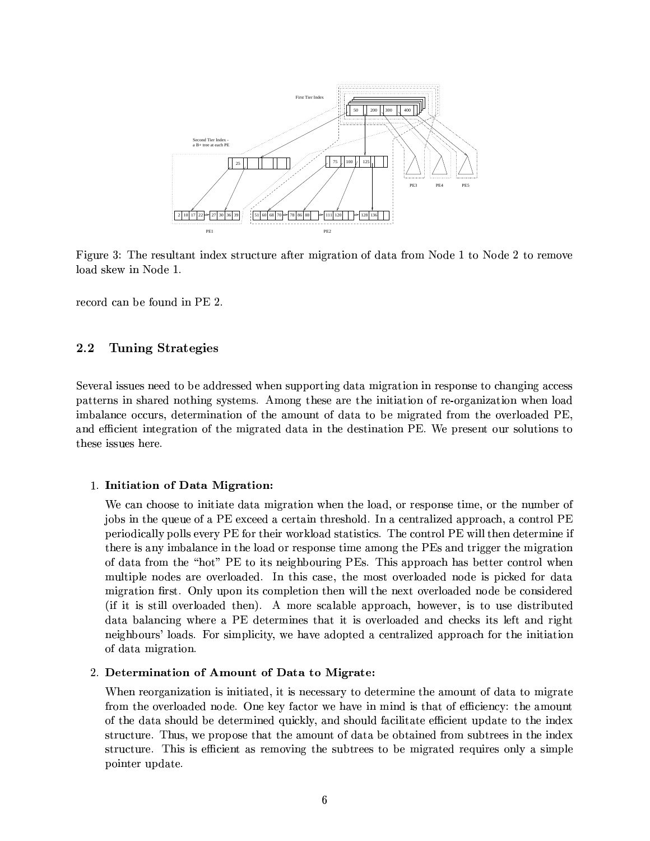

Figure 3: The resultant index structure after migration of data from Node 1 to Node 2 to remove load skew in Node 1.

record can be found in PE 2.

#### 2.2 **Tuning Strategies**

Several issues need to be addressed when supporting data migration in response to changing access patterns in shared nothing systems. Among these are the initiation of re-organization when load imbalance occurs, determination of the amount of data to be migrated from the overloaded PE. and efficient integration of the migrated data in the destination PE. We present our solutions to these issues here.

## 1. Initiation of Data Migration:

We can choose to initiate data migration when the load, or response time, or the number of jobs in the queue of a PE exceed a certain threshold. In a centralized approach, a control PE periodically polls every PE for their workload statistics. The control PE will then determine if there is any imbalance in the load or response time among the PEs and trigger the migration of data from the "hot" PE to its neighbouring PEs. This approach has better control when multiple nodes are overloaded. In this case, the most overloaded node is picked for data migration first. Only upon its completion then will the next overloaded node be considered (if it is still overloaded then). A more scalable approach, however, is to use distributed data balancing where a PE determines that it is overloaded and checks its left and right neighbours' loads. For simplicity, we have adopted a centralized approach for the initiation of data migration.

## 2. Determination of Amount of Data to Migrate:

When reorganization is initiated, it is necessary to determine the amount of data to migrate from the overloaded node. One key factor we have in mind is that of efficiency: the amount of the data should be determined quickly, and should facilitate efficient update to the index structure. Thus, we propose that the amount of data be obtained from subtrees in the index structure. This is efficient as removing the subtrees to be migrated requires only a simple pointer update.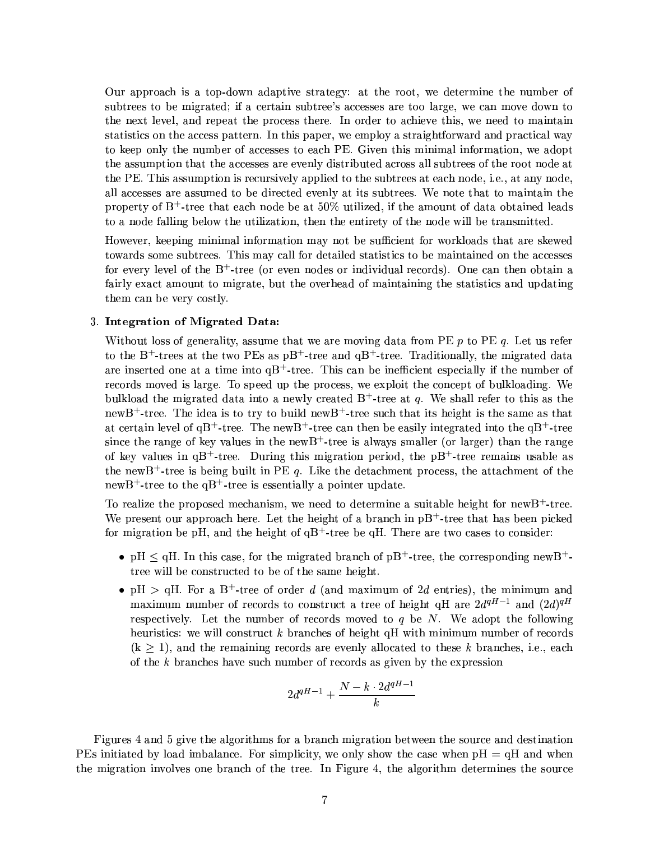Our approach is a top-down adaptive strategy: at the root, we determine the number of subtrees to be migrated; if a certain subtree's accesses are too large, we can move down to the next level, and repeat the process there. In order to achieve this, we need to maintain statistics on the access pattern. In this paper, we employ a straightforward and practical way to keep only the number of accesses to each PE. Given this minimal information, we adopt the assumption that the accesses are evenly distributed across all subtrees of the root node at the PE. This assumption is recursively applied to the subtrees at each node, i.e., at any node, all accesses are assumed to be directed evenly at its subtrees. We note that to maintain the property of  $B^+$ -tree that each node be at 50% utilized, if the amount of data obtained leads to a node falling below the utilization, then the entirety of the node will be transmitted.

However, keeping minimal information may not be sufficient for workloads that are skewed towards some subtrees. This may call for detailed statistics to be maintained on the accesses for every level of the  $B^+$ -tree (or even nodes or individual records). One can then obtain a fairly exact amount to migrate, but the overhead of maintaining the statistics and updating them can be very costly.

### 3. Integration of Migrated Data:

Without loss of generality, assume that we are moving data from PE  $p$  to PE  $q$ . Let us refer to the B<sup>+</sup>-trees at the two PEs as  $pB^+$ -tree and  $qB^+$ -tree. Traditionally, the migrated data are inserted one at a time into  $qB^+$ -tree. This can be inefficient especially if the number of records moved is large. To speed up the process, we exploit the concept of bulkloading. We bulkload the migrated data into a newly created  $B^+$ -tree at q. We shall refer to this as the  $newB<sup>+</sup>$ -tree. The idea is to try to build  $newB<sup>+</sup>$ -tree such that its height is the same as that at certain level of  $qB^+$ -tree. The new  $B^+$ -tree can then be easily integrated into the  $qB^+$ -tree since the range of key values in the new  $B^+$ -tree is always smaller (or larger) than the range of key values in  $qB^+$ -tree. During this migration period, the  $pB^+$ -tree remains usable as the new B<sup>+</sup>-tree is being built in PE  $q$ . Like the detachment process, the attachment of the  $newB<sup>+</sup>$ -tree to the qB<sup>+</sup>-tree is essentially a pointer update.

To realize the proposed mechanism, we need to determine a suitable height for newB<sup>+</sup>-tree. We present our approach here. Let the height of a branch in pB<sup>+</sup>-tree that has been picked for migration be pH, and the height of  $qB^+$ -tree be qH. There are two cases to consider:

- pH  $\le$  qH. In this case, for the migrated branch of pB<sup>+</sup>-tree, the corresponding newB<sup>+</sup>tree will be constructed to be of the same height.
- pH > qH. For a B<sup>+</sup>-tree of order d (and maximum of 2d entries), the minimum and maximum number of records to construct a tree of height qH are  $2d^{qH-1}$  and  $(2d)^{qH}$ respectively. Let the number of records moved to  $q$  be  $N$ . We adopt the following heuristics: we will construct  $k$  branches of height qH with minimum number of records  $(k \geq 1)$ , and the remaining records are evenly allocated to these k branches, i.e., each of the  $k$  branches have such number of records as given by the expression

$$
2d^{qH-1} + \frac{N-k\cdot 2d^{qH-1}}{k}
$$

Figures 4 and 5 give the algorithms for a branch migration between the source and destination PEs initiated by load imbalance. For simplicity, we only show the case when  $pH = qH$  and when the migration involves one branch of the tree. In Figure 4, the algorithm determines the source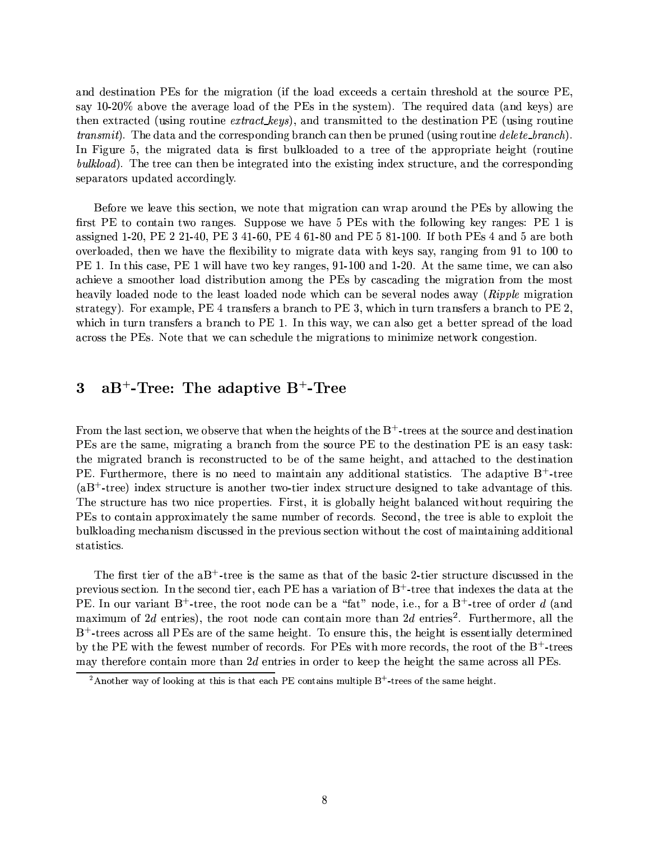and destination PEs for the migration (if the load exceeds a certain threshold at the source PE. say 10-20% above the average load of the PEs in the system). The required data (and keys) are then extracted (using routine extract\_keys), and transmitted to the destination PE (using routine *transmit*). The data and the corresponding branch can then be pruned (using routine *delete\_branch*). In Figure 5, the migrated data is first bulkloaded to a tree of the appropriate height (routine bulkload). The tree can then be integrated into the existing index structure, and the corresponding separators updated accordingly.

Before we leave this section, we note that migration can wrap around the PEs by allowing the first PE to contain two ranges. Suppose we have 5 PEs with the following key ranges: PE 1 is assigned 1-20, PE 2 21-40, PE 3 41-60, PE 4 61-80 and PE 5 81-100. If both PEs 4 and 5 are both overloaded, then we have the flexibility to migrate data with keys say, ranging from 91 to 100 to PE 1. In this case, PE 1 will have two key ranges, 91-100 and 1-20. At the same time, we can also achieve a smoother load distribution among the PEs by cascading the migration from the most heavily loaded node to the least loaded node which can be several nodes away (Ripple migration strategy). For example, PE 4 transfers a branch to PE 3, which in turn transfers a branch to PE 2, which in turn transfers a branch to PE 1. In this way, we can also get a better spread of the load across the PEs. Note that we can schedule the migrations to minimize network congestion.

### $aB^+$ -Tree: The adaptive  $B^+$ -Tree 3

From the last section, we observe that when the heights of the  $B^+$ -trees at the source and destination PEs are the same, migrating a branch from the source PE to the destination PE is an easy task: the migrated branch is reconstructed to be of the same height, and attached to the destination PE. Furthermore, there is no need to maintain any additional statistics. The adaptive B<sup>+</sup>-tree  $(aB<sup>+</sup>-tree)$  index structure is another two-tier index structure designed to take advantage of this. The structure has two nice properties. First, it is globally height balanced without requiring the PEs to contain approximately the same number of records. Second, the tree is able to exploit the bulkloading mechanism discussed in the previous section without the cost of maintaining additional statistics.

The first tier of the  $aB^+$ -tree is the same as that of the basic 2-tier structure discussed in the previous section. In the second tier, each PE has a variation of  $B^+$ -tree that indexes the data at the PE. In our variant  $B^+$ -tree, the root node can be a "fat" node, i.e., for a  $B^+$ -tree of order d (and maximum of 2d entries), the root node can contain more than 2d entries<sup>2</sup>. Furthermore, all the  $B^+$ -trees across all PEs are of the same height. To ensure this, the height is essentially determined by the PE with the fewest number of records. For PEs with more records, the root of the  $B^+$ -trees may therefore contain more than 2d entries in order to keep the height the same across all PEs.

<sup>&</sup>lt;sup>2</sup>Another way of looking at this is that each PE contains multiple  $B^+$ -trees of the same height.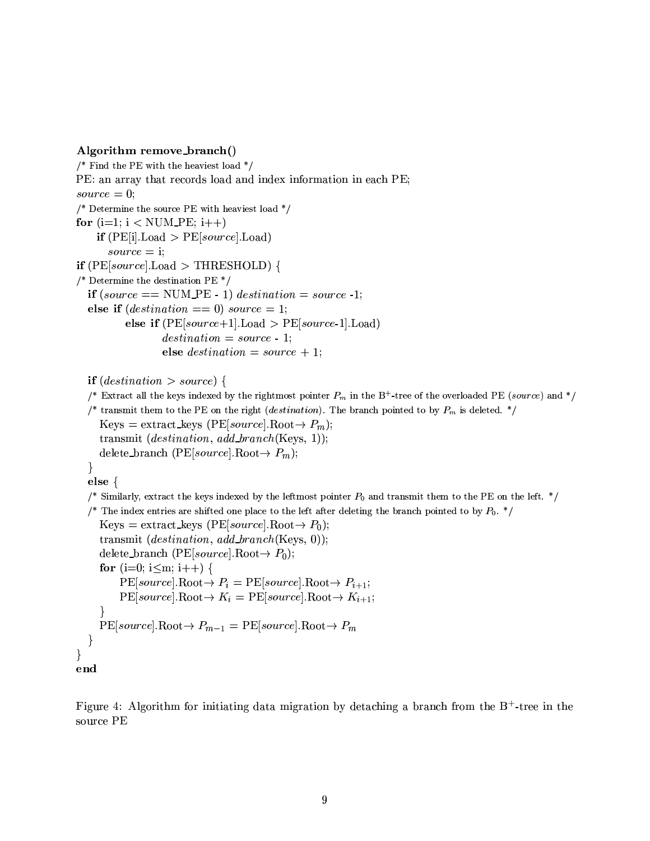## Algorithm remove\_branch()

```
/* Find the PE with the heaviest load */PE: an array that records load and index information in each PE;
source = 0/* Determine the source PE with heaviest load */for (i=1; i < NUM\_PE; i++)if (PE[i].Load > PE[source].Load)source = i;
if (PE|source|. Load > THRESHOLD) {
/* Determine the destination PE */if (source == NUM\ P E - 1) destination = source -1;
  else if (destination == 0) source = 1;else if (PE[source+1].Load > PE[source-1].Load)destination = source - 1;else destination = source + 1;
  \textbf{if} (destination > source)/* Extract all the keys indexed by the rightmost pointer P_m in the B<sup>+</sup>-tree of the overloaded PE (source) and */
  /* transmit them to the PE on the right (destination). The branch pointed to by P_m is deleted. */
     \text{Keys} = \text{extract\_keys} (PE[source].Root\rightarrow P_m);
     transmit (destination, add_branch(Keys, 1));
     delete_branch (PE|source| Root\rightarrow P_m);
  \}else \{/* Similarly, extract the keys indexed by the leftmost pointer P_0 and transmit them to the PE on the left. */
  /* The index entries are shifted one place to the left after deleting the branch pointed to by P_0. */
     \text{Keys} = \text{extract\_keys} (PE[source].Root \rightarrow P_0);
     transmit (destination, add_branch(Keys, 0));
     delete_branch (PE[source].Root\rightarrow P_0);
     for (i=0; i\leqm; i++) {
         PE[source]. Root\rightarrow P_i = PE[source]. Root\rightarrow P_{i+1};
         PE[source].Root \rightarrow K_i = PE[source].Root \rightarrow K_{i+1};\}PE[source].Root \rightarrow P_{m-1} = PE[source].Root \rightarrow P_m\}\}
```

```
end
```
Figure 4: Algorithm for initiating data migration by detaching a branch from the  $B^+$ -tree in the source PE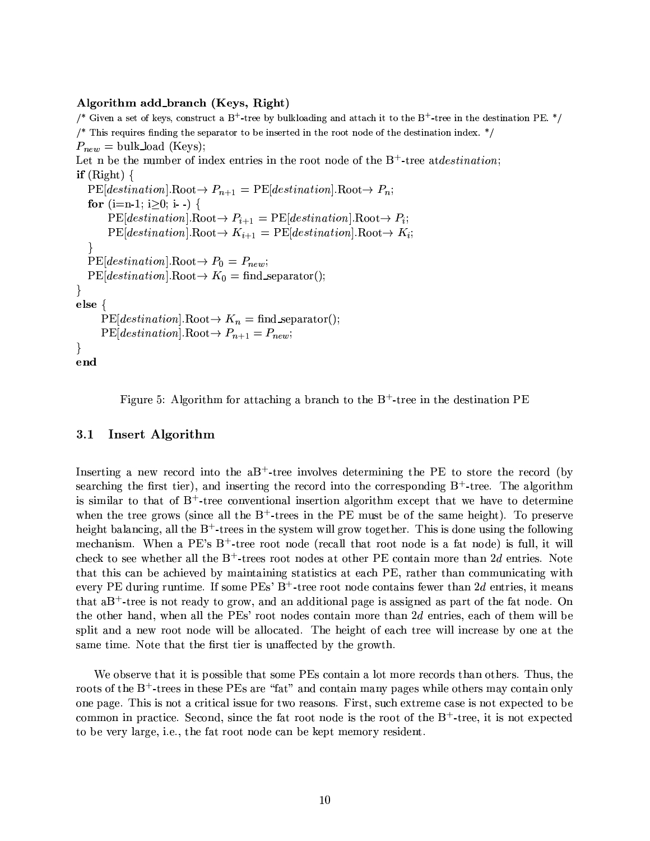## Algorithm add\_branch (Keys, Right)

/\* Given a set of keys, construct a B<sup>+</sup>-tree by bulkloading and attach it to the B<sup>+</sup>-tree in the destination PE. \*/ /\* This requires finding the separator to be inserted in the root node of the destination index. \*/  $P_{new} = \text{bulk\_load (Keys)}$ ; Let n be the number of index entries in the root node of the  $B^+$ -tree at *destination*:  $if(Right)$  {  $PE[destination].Root \rightarrow P_{n+1} = PE[destination].Root \rightarrow P_n;$ for  $(i=n-1; i \geq 0; i-)$  {  $PE[destination].Root \rightarrow P_{i+1} = PE[destination].Root \rightarrow P_i;$  $PE[destination].Root \rightarrow K_{i+1} = PE[destination].Root \rightarrow K_i;$  $\}$  $PE[destination].Root \rightarrow P_0 = P_{new};$  $PE[destination].Root \rightarrow K_0 = find\_separator();$  $\}$  $else \{$  $PE[destination].Root \rightarrow K_n = find\_separator();$  $PE[destination].Root \rightarrow P_{n+1} = P_{new};$  $\}$ end

Figure 5: Algorithm for attaching a branch to the  $B^+$ -tree in the destination PE

#### **Insert Algorithm**  $3.1$

Inserting a new record into the  $aB^+$ -tree involves determining the PE to store the record (by searching the first tier), and inserting the record into the corresponding  $B^+$ -tree. The algorithm is similar to that of  $B^+$ -tree conventional insertion algorithm except that we have to determine when the tree grows (since all the  $B^+$ -trees in the PE must be of the same height). To preserve height balancing, all the  $B^+$ -trees in the system will grow together. This is done using the following mechanism. When a PE's B<sup>+</sup>-tree root node (recall that root node is a fat node) is full, it will check to see whether all the  $B^+$ -trees root nodes at other PE contain more than 2d entries. Note that this can be achieved by maintaining statistics at each PE, rather than communicating with every PE during runtime. If some PEs'  $B^+$ -tree root node contains fewer than 2d entries, it means that  $aB^+$ -tree is not ready to grow, and an additional page is assigned as part of the fat node. On the other hand, when all the PEs' root nodes contain more than 2d entries, each of them will be split and a new root node will be allocated. The height of each tree will increase by one at the same time. Note that the first tier is unaffected by the growth.

We observe that it is possible that some PEs contain a lot more records than others. Thus, the roots of the  $B^+$ -trees in these PEs are "fat" and contain many pages while others may contain only one page. This is not a critical issue for two reasons. First, such extreme case is not expected to be common in practice. Second, since the fat root node is the root of the  $B^+$ -tree, it is not expected to be very large, i.e., the fat root node can be kept memory resident.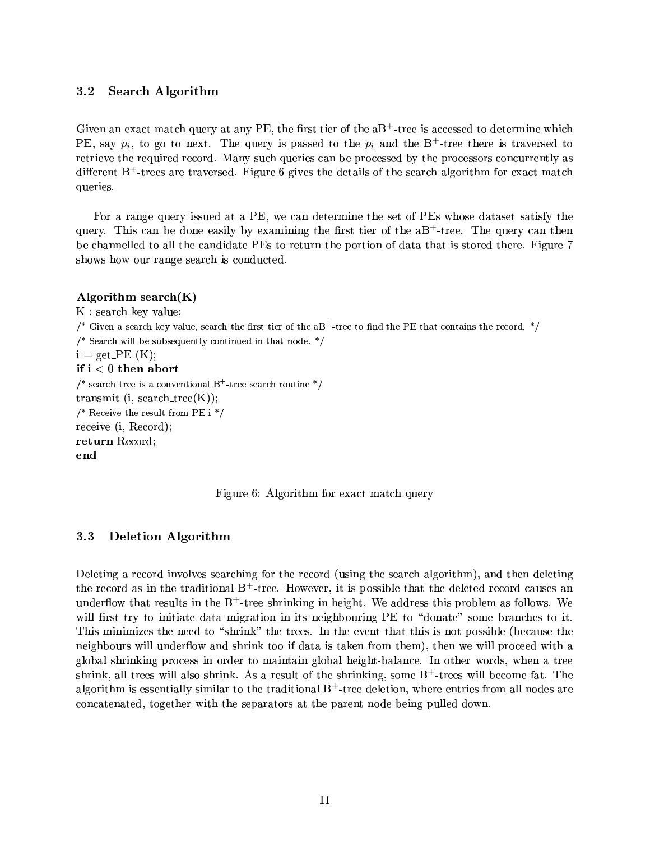#### $3.2$ Search Algorithm

Given an exact match query at any PE, the first tier of the  $aB^+$ -tree is accessed to determine which PE, say  $p_i$ , to go to next. The query is passed to the  $p_i$  and the B<sup>+</sup>-tree there is traversed to retrieve the required record. Many such queries can be processed by the processors concurrently as different  $B^+$ -trees are traversed. Figure 6 gives the details of the search algorithm for exact match queries.

For a range query issued at a PE, we can determine the set of PEs whose dataset satisfy the query. This can be done easily by examining the first tier of the  $aB^+$ -tree. The query can then be channelled to all the candidate PEs to return the portion of data that is stored there. Figure 7 shows how our range search is conducted.

## Algorithm search $(K)$

K : search key value; /\* Given a search key value, search the first tier of the  $aB^+$ -tree to find the PE that contains the record. \*/ /\* Search will be subsequently continued in that node.  $*/$  $i = get$  PE  $(K)$ ; if  $i < 0$  then abort /\* search\_tree is a conventional B<sup>+</sup>-tree search routine \*/ transmit (i, search\_tree $(K)$ ); /\* Receive the result from PE i  $*/$ receive (*i*, Record); return Record; end

Figure 6: Algorithm for exact match query

#### $3.3$ **Deletion Algorithm**

Deleting a record involves searching for the record (using the search algorithm), and then deleting the record as in the traditional  $B^+$ -tree. However, it is possible that the deleted record causes an underflow that results in the  $B^+$ -tree shrinking in height. We address this problem as follows. We will first try to initiate data migration in its neighbouring PE to "donate" some branches to it. This minimizes the need to "shrink" the trees. In the event that this is not possible (because the neighbours will underflow and shrink too if data is taken from them), then we will proceed with a global shrinking process in order to maintain global height-balance. In other words, when a tree shrink, all trees will also shrink. As a result of the shrinking, some  $B^+$ -trees will become fat. The algorithm is essentially similar to the traditional  $B^+$ -tree deletion, where entries from all nodes are concatenated, together with the separators at the parent node being pulled down.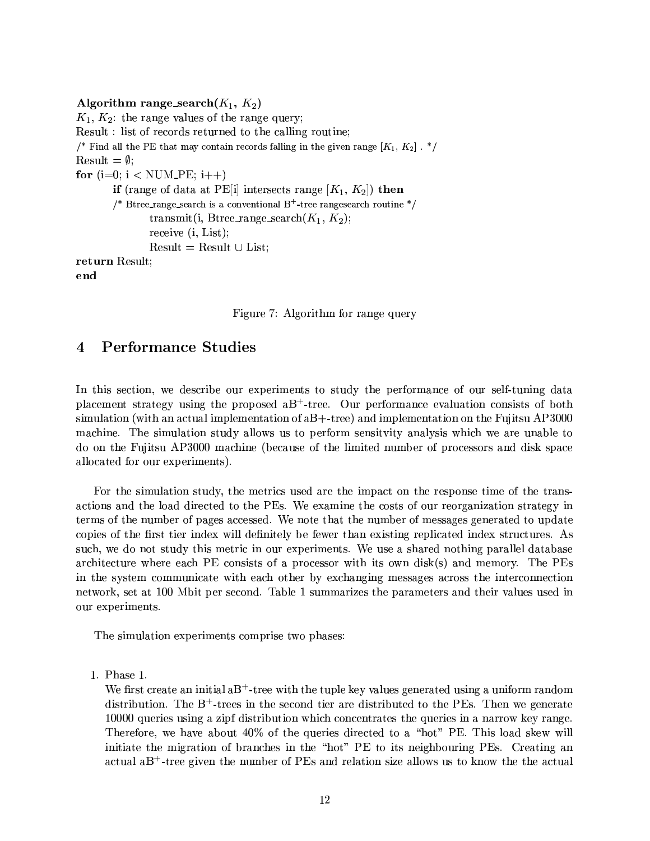## Algorithm range\_search $(K_1, K_2)$

 $K_1$ ,  $K_2$ : the range values of the range query; Result : list of records returned to the calling routine; /\* Find all the PE that may contain records falling in the given range  $[K_1, K_2]$ . \*/ Result =  $\emptyset$ ; for  $(i=0; i < NUM\_PE; i++)$ if (range of data at PE[i] intersects range  $[K_1, K_2]$ ) then /\* Btree\_range\_search is a conventional B<sup>+</sup>-tree rangesearch routine \*/ transmit(i, Btree\_range\_search( $K_1, K_2$ ); receive  $(i, List);$  $Result = Result \cup List;$ return Result; end

Figure 7: Algorithm for range query

### **Performance Studies**  $\overline{\mathbf{4}}$

In this section, we describe our experiments to study the performance of our self-tuning data placement strategy using the proposed  $aB^+$ -tree. Our performance evaluation consists of both simulation (with an actual implementation of aB+-tree) and implementation on the Fujitsu AP3000 machine. The simulation study allows us to perform sensityity analysis which we are unable to do on the Fujitsu AP3000 machine (because of the limited number of processors and disk space allocated for our experiments).

For the simulation study, the metrics used are the impact on the response time of the transactions and the load directed to the PEs. We examine the costs of our reorganization strategy in terms of the number of pages accessed. We note that the number of messages generated to update copies of the first tier index will definitely be fewer than existing replicated index structures. As such, we do not study this metric in our experiments. We use a shared nothing parallel database architecture where each PE consists of a processor with its own disk(s) and memory. The PEs in the system communicate with each other by exchanging messages across the interconnection network, set at 100 Mbit per second. Table 1 summarizes the parameters and their values used in our experiments.

The simulation experiments comprise two phases:

1. Phase 1.

We first create an initial  $aB^+$ -tree with the tuple key values generated using a uniform random distribution. The  $B^+$ -trees in the second tier are distributed to the PEs. Then we generate 10000 queries using a zipf distribution which concentrates the queries in a narrow key range. Therefore, we have about 40% of the queries directed to a "hot" PE. This load skew will initiate the migration of branches in the "hot" PE to its neighbouring PEs. Creating an actual  $aB^+$ -tree given the number of PEs and relation size allows us to know the the actual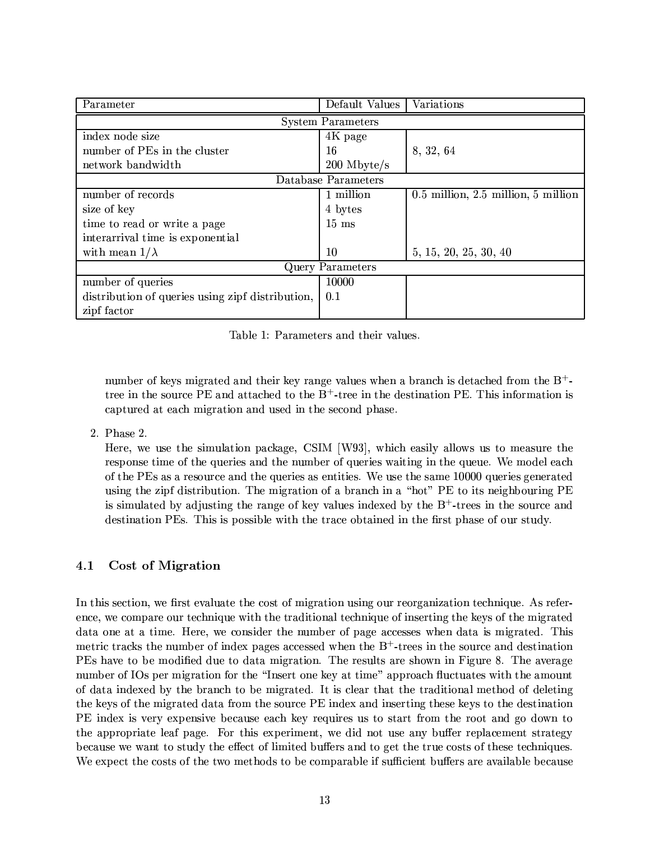| Parameter                                        | Default Values  | Variations                                |  |  |  |
|--------------------------------------------------|-----------------|-------------------------------------------|--|--|--|
| <b>System Parameters</b>                         |                 |                                           |  |  |  |
| index node size                                  | 4K page         |                                           |  |  |  |
| number of PEs in the cluster                     | 16              | 8, 32, 64                                 |  |  |  |
| network bandwidth                                | $200$ Mbyte/s   |                                           |  |  |  |
| Database Parameters                              |                 |                                           |  |  |  |
| number of records                                | 1 million       | $0.5$ million, $2.5$ million, $5$ million |  |  |  |
| size of key                                      | 4 bytes         |                                           |  |  |  |
| time to read or write a page                     | $15 \text{ ms}$ |                                           |  |  |  |
| interarrival time is exponential                 |                 |                                           |  |  |  |
| with mean $1/\lambda$                            | 10              | 5, 15, 20, 25, 30, 40                     |  |  |  |
| <b>Query Parameters</b>                          |                 |                                           |  |  |  |
| number of queries                                | 10000           |                                           |  |  |  |
| distribution of queries using zipf distribution, | 0.1             |                                           |  |  |  |
| zipf factor                                      |                 |                                           |  |  |  |

Table 1: Parameters and their values.

number of keys migrated and their key range values when a branch is detached from the  $B^+$ . tree in the source PE and attached to the  $B^+$ -tree in the destination PE. This information is captured at each migration and used in the second phase.

2. Phase 2.

Here, we use the simulation package, CSIM [W93], which easily allows us to measure the response time of the queries and the number of queries waiting in the queue. We model each of the PEs as a resource and the queries as entities. We use the same 10000 queries generated using the zipf distribution. The migration of a branch in a "hot" PE to its neighbouring PE is simulated by adjusting the range of key values indexed by the  $B^+$ -trees in the source and destination PEs. This is possible with the trace obtained in the first phase of our study.

#### 4.1 Cost of Migration

In this section, we first evaluate the cost of migration using our reorganization technique. As reference, we compare our technique with the traditional technique of inserting the keys of the migrated data one at a time. Here, we consider the number of page accesses when data is migrated. This metric tracks the number of index pages accessed when the  $B^+$ -trees in the source and destination PEs have to be modified due to data migration. The results are shown in Figure 8. The average number of IOs per migration for the "Insert one key at time" approach fluctuates with the amount of data indexed by the branch to be migrated. It is clear that the traditional method of deleting the keys of the migrated data from the source PE index and inserting these keys to the destination PE index is very expensive because each key requires us to start from the root and go down to the appropriate leaf page. For this experiment, we did not use any buffer replacement strategy because we want to study the effect of limited buffers and to get the true costs of these techniques. We expect the costs of the two methods to be comparable if sufficient buffers are available because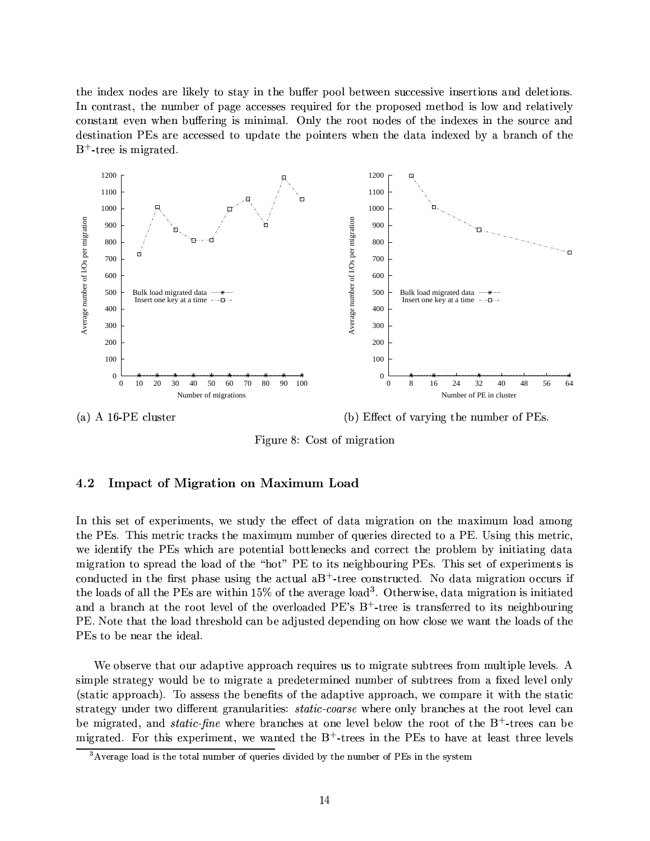the index nodes are likely to stay in the buffer pool between successive insertions and deletions. In contrast, the number of page accesses required for the proposed method is low and relatively constant even when buffering is minimal. Only the root nodes of the indexes in the source and destination PEs are accessed to update the pointers when the data indexed by a branch of the  $B^+$ -tree is migrated.



(a) A  $16$ -PE cluster

(b) Effect of varying the number of PEs.

Figure 8: Cost of migration

#### 4.2 Impact of Migration on Maximum Load

In this set of experiments, we study the effect of data migration on the maximum load among the PEs. This metric tracks the maximum number of queries directed to a PE. Using this metric, we identify the PEs which are potential bottlenecks and correct the problem by initiating data migration to spread the load of the "hot" PE to its neighbouring PEs. This set of experiments is conducted in the first phase using the actual  $aB^+$ -tree constructed. No data migration occurs if the loads of all the PEs are within  $15\%$  of the average load<sup>3</sup>. Otherwise, data migration is initiated and a branch at the root level of the overloaded PE's  $B^+$ -tree is transferred to its neighbouring PE. Note that the load threshold can be adjusted depending on how close we want the loads of the PEs to be near the ideal.

We observe that our adaptive approach requires us to migrate subtrees from multiple levels. A simple strategy would be to migrate a predetermined number of subtrees from a fixed level only (static approach). To assess the benefits of the adaptive approach, we compare it with the static strategy under two different granularities: *static-coarse* where only branches at the root level can be migrated, and *static-fine* where branches at one level below the root of the  $B^+$ -trees can be migrated. For this experiment, we wanted the B<sup>+</sup>-trees in the PEs to have at least three levels

 $3$ Average load is the total number of queries divided by the number of PEs in the system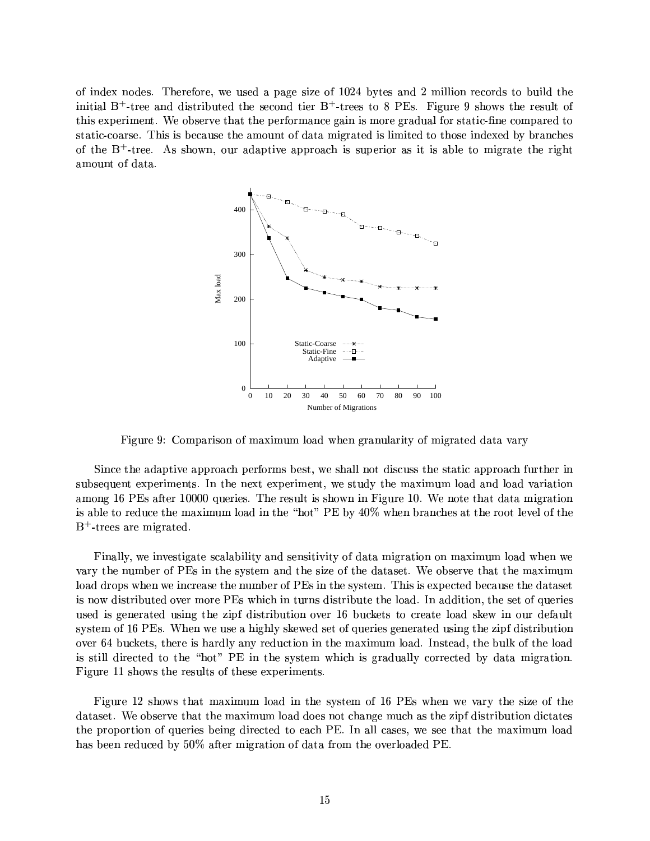of index nodes. Therefore, we used a page size of 1024 bytes and 2 million records to build the initial B<sup>+</sup>-tree and distributed the second tier B<sup>+</sup>-trees to 8 PEs. Figure 9 shows the result of this experiment. We observe that the performance gain is more gradual for static-fine compared to static-coarse. This is because the amount of data migrated is limited to those indexed by branches of the  $B^+$ -tree. As shown, our adaptive approach is superior as it is able to migrate the right amount of data.



Figure 9: Comparison of maximum load when granularity of migrated data vary

Since the adaptive approach performs best, we shall not discuss the static approach further in subsequent experiments. In the next experiment, we study the maximum load and load variation among 16 PEs after 10000 queries. The result is shown in Figure 10. We note that data migration is able to reduce the maximum load in the "hot" PE by 40% when branches at the root level of the  $B^+$ -trees are migrated.

Finally, we investigate scalability and sensitivity of data migration on maximum load when we vary the number of PEs in the system and the size of the dataset. We observe that the maximum load drops when we increase the number of PEs in the system. This is expected because the dataset is now distributed over more PEs which in turns distribute the load. In addition, the set of queries used is generated using the zipf distribution over 16 buckets to create load skew in our default system of 16 PEs. When we use a highly skewed set of queries generated using the zipf distribution over 64 buckets, there is hardly any reduction in the maximum load. Instead, the bulk of the load is still directed to the "hot" PE in the system which is gradually corrected by data migration. Figure 11 shows the results of these experiments.

Figure 12 shows that maximum load in the system of 16 PEs when we vary the size of the dataset. We observe that the maximum load does not change much as the zipf distribution dictates the proportion of queries being directed to each PE. In all cases, we see that the maximum load has been reduced by 50% after migration of data from the overloaded PE.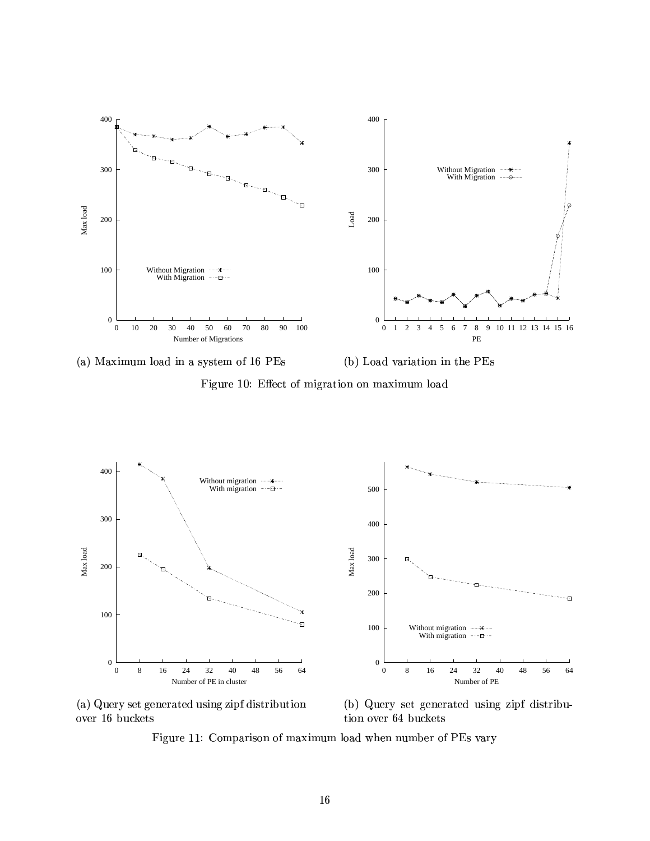

(a) Maximum load in a system of 16 PEs (b) Load variation in the PEs

Figure 10: Effect of migration on maximum load



(a) Query set generated using zipf distribution over 16 buckets

(b) Query set generated using zipf distribution over 64 buckets

Figure 11: Comparison of maximum load when number of PEs vary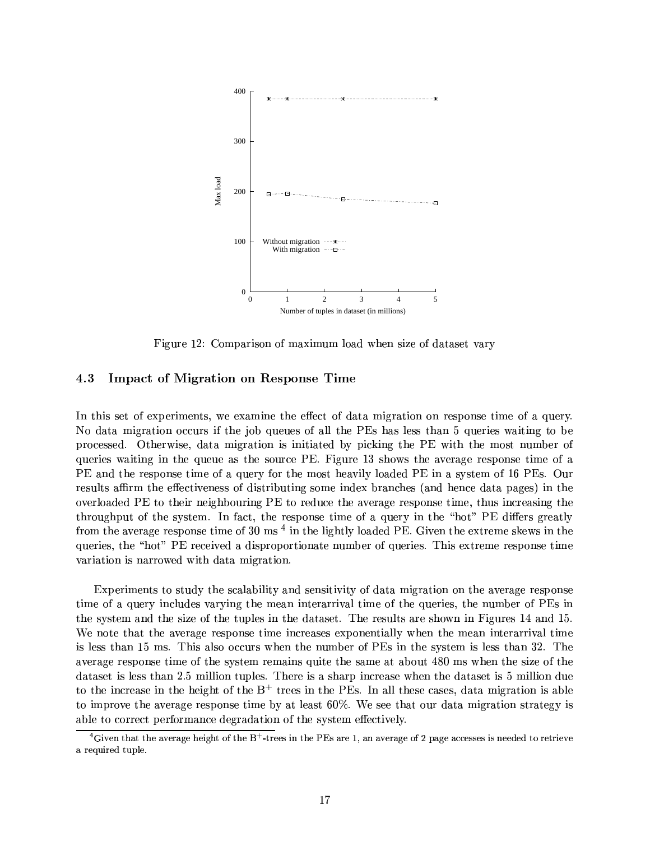

Figure 12: Comparison of maximum load when size of dataset vary

#### 4.3 **Impact of Migration on Response Time**

In this set of experiments, we examine the effect of data migration on response time of a query. No data migration occurs if the job queues of all the PEs has less than 5 queries waiting to be processed. Otherwise, data migration is initiated by picking the PE with the most number of queries waiting in the queue as the source PE. Figure 13 shows the average response time of a PE and the response time of a query for the most heavily loaded PE in a system of 16 PEs. Our results affirm the effectiveness of distributing some index branches (and hence data pages) in the overloaded PE to their neighbouring PE to reduce the average response time, thus increasing the throughput of the system. In fact, the response time of a query in the "hot" PE differs greatly from the average response time of 30 ms  $^4$  in the lightly loaded PE. Given the extreme skews in the queries, the "hot" PE received a disproportionate number of queries. This extreme response time variation is narrowed with data migration.

Experiments to study the scalability and sensitivity of data migration on the average response time of a query includes varying the mean interarrival time of the queries, the number of PEs in the system and the size of the tuples in the dataset. The results are shown in Figures 14 and 15. We note that the average response time increases exponentially when the mean interarrival time is less than 15 ms. This also occurs when the number of PEs in the system is less than 32. The average response time of the system remains quite the same at about 480 ms when the size of the dataset is less than 2.5 million tuples. There is a sharp increase when the dataset is 5 million due to the increase in the height of the  $B^+$  trees in the PEs. In all these cases, data migration is able to improve the average response time by at least 60%. We see that our data migration strategy is able to correct performance degradation of the system effectively.

<sup>&</sup>lt;sup>4</sup>Given that the average height of the B<sup>+</sup>-trees in the PEs are 1, an average of 2 page accesses is needed to retrieve a required tuple.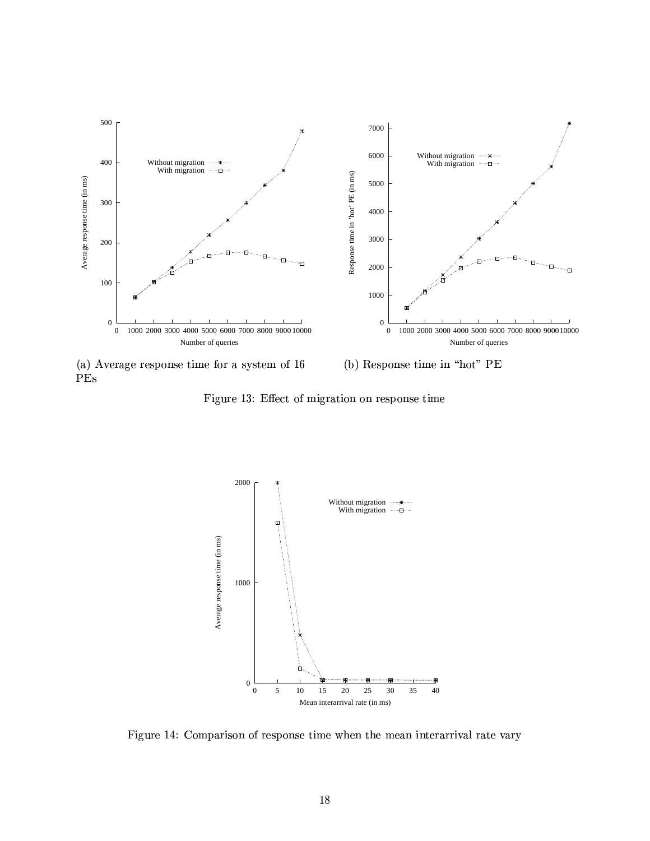

(a) Average response time for a system of 16  $PEs$ 

(b) Response time in "hot" PE

Figure 13: Effect of migration on response time



Figure 14: Comparison of response time when the mean interarrival rate vary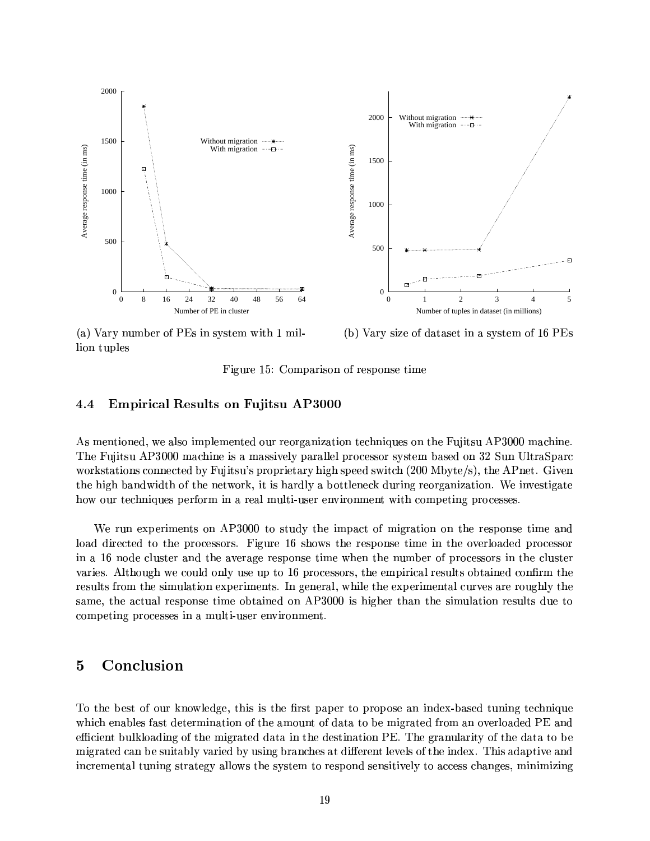

(a) Vary number of PEs in system with 1 million tuples

(b) Vary size of dataset in a system of 16 PEs

Figure 15: Comparison of response time

#### **Empirical Results on Fujitsu AP3000**  $4.4$

As mentioned, we also implemented our reorganization techniques on the Fujitsu AP3000 machine. The Fujitsu AP3000 machine is a massively parallel processor system based on 32 Sun UltraSparc workstations connected by Fujitsu's proprietary high speed switch (200 Mbyte/s), the APnet. Given the high bandwidth of the network, it is hardly a bottleneck during reorganization. We investigate how our techniques perform in a real multi-user environment with competing processes.

We run experiments on AP3000 to study the impact of migration on the response time and load directed to the processors. Figure 16 shows the response time in the overloaded processor in a 16 node cluster and the average response time when the number of processors in the cluster varies. Although we could only use up to 16 processors, the empirical results obtained confirm the results from the simulation experiments. In general, while the experimental curves are roughly the same, the actual response time obtained on AP3000 is higher than the simulation results due to competing processes in a multi-user environment.

### $\overline{5}$ Conclusion

To the best of our knowledge, this is the first paper to propose an index-based tuning technique which enables fast determination of the amount of data to be migrated from an overloaded PE and efficient bulkloading of the migrated data in the destination PE. The granularity of the data to be migrated can be suitably varied by using branches at different levels of the index. This adaptive and incremental tuning strategy allows the system to respond sensitively to access changes, minimizing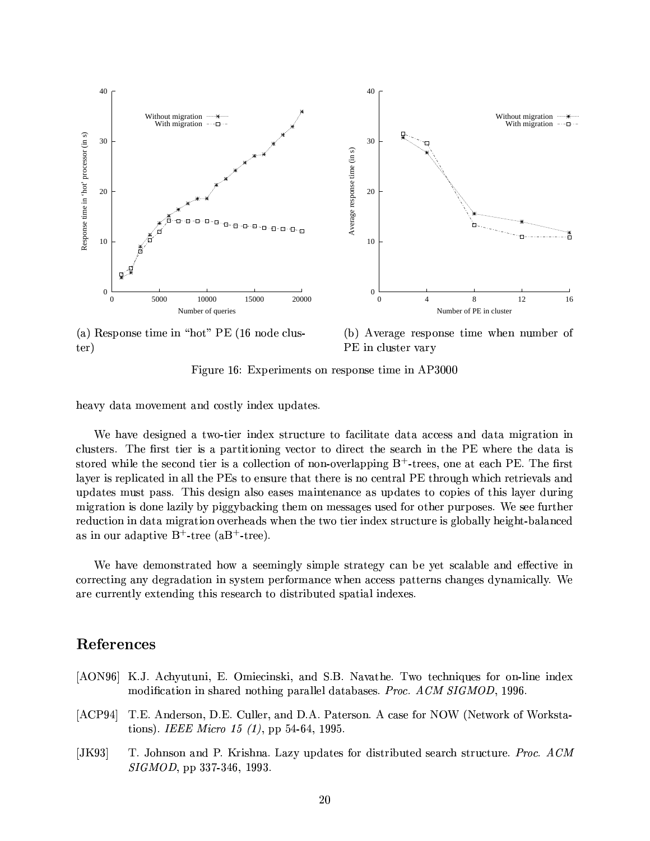

(a) Response time in "hot" PE (16 node cluster)

(b) Average response time when number of PE in cluster vary

Figure 16: Experiments on response time in AP3000

heavy data movement and costly index updates.

We have designed a two-tier index structure to facilitate data access and data migration in clusters. The first tier is a partitioning vector to direct the search in the PE where the data is stored while the second tier is a collection of non-overlapping  $B^+$ -trees, one at each PE. The first layer is replicated in all the PEs to ensure that there is no central PE through which retrievals and updates must pass. This design also eases maintenance as updates to copies of this layer during migration is done lazily by piggybacking them on messages used for other purposes. We see further reduction in data migration overheads when the two tier index structure is globally height-balanced as in our adaptive  $B^+$ -tree (aB<sup>+</sup>-tree).

We have demonstrated how a seemingly simple strategy can be yet scalable and effective in correcting any degradation in system performance when access patterns changes dynamically. We are currently extending this research to distributed spatial indexes.

# References

- [AON96] K.J. Achyutuni, E. Omiecinski, and S.B. Navathe. Two techniques for on-line index modification in shared nothing parallel databases. Proc. ACM SIGMOD, 1996.
- $[ACP94]$ T.E. Anderson, D.E. Culler, and D.A. Paterson. A case for NOW (Network of Workstations). IEEE Micro 15  $(1)$ , pp 54-64, 1995.
- $|JK93|$ T. Johnson and P. Krishna. Lazy updates for distributed search structure. Proc. ACM  $SIGMOD.$  pp 337-346, 1993.